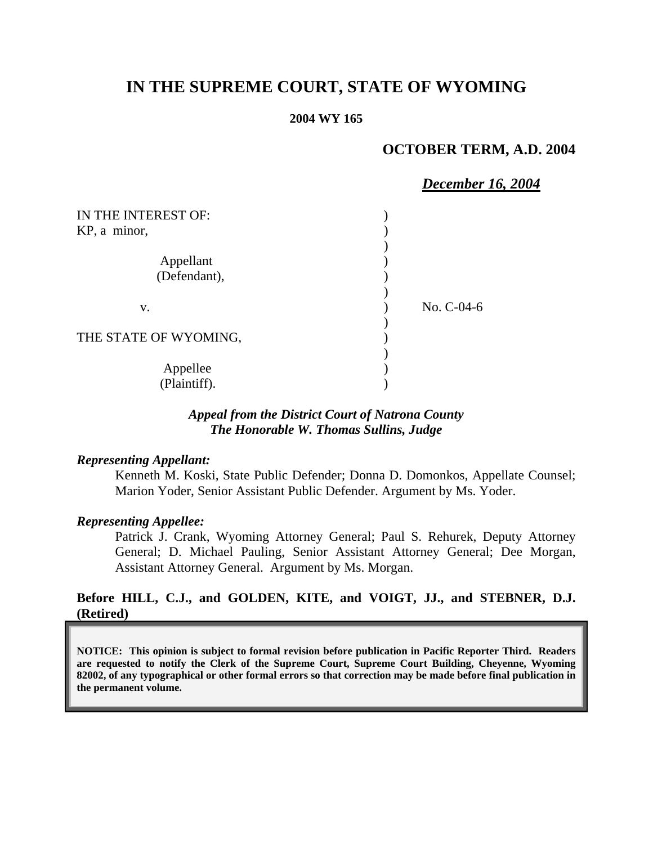# **IN THE SUPREME COURT, STATE OF WYOMING**

#### **2004 WY 165**

## **OCTOBER TERM, A.D. 2004**

|                       | <b>December 16, 2004</b> |
|-----------------------|--------------------------|
| IN THE INTEREST OF:   |                          |
| KP, a minor,          |                          |
|                       |                          |
| Appellant             |                          |
| (Defendant),          |                          |
| V.                    | No. C-04-6               |
| THE STATE OF WYOMING, |                          |
| Appellee              |                          |
| (Plaintiff).          |                          |

## *Appeal from the District Court of Natrona County The Honorable W. Thomas Sullins, Judge*

#### *Representing Appellant:*

Kenneth M. Koski, State Public Defender; Donna D. Domonkos, Appellate Counsel; Marion Yoder, Senior Assistant Public Defender. Argument by Ms. Yoder.

#### *Representing Appellee:*

Patrick J. Crank, Wyoming Attorney General; Paul S. Rehurek, Deputy Attorney General; D. Michael Pauling, Senior Assistant Attorney General; Dee Morgan, Assistant Attorney General. Argument by Ms. Morgan.

# **Before HILL, C.J., and GOLDEN, KITE, and VOIGT, JJ., and STEBNER, D.J. (Retired)**

**NOTICE: This opinion is subject to formal revision before publication in Pacific Reporter Third. Readers are requested to notify the Clerk of the Supreme Court, Supreme Court Building, Cheyenne, Wyoming 82002, of any typographical or other formal errors so that correction may be made before final publication in the permanent volume.**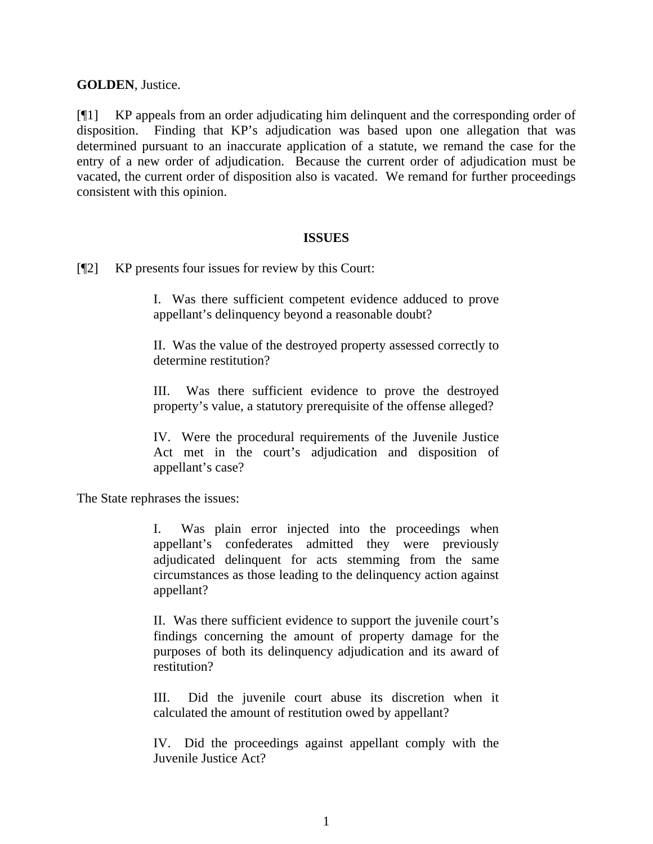## **GOLDEN**, Justice.

[¶1] KP appeals from an order adjudicating him delinquent and the corresponding order of disposition. Finding that KP's adjudication was based upon one allegation that was determined pursuant to an inaccurate application of a statute, we remand the case for the entry of a new order of adjudication. Because the current order of adjudication must be vacated, the current order of disposition also is vacated. We remand for further proceedings consistent with this opinion.

## **ISSUES**

[¶2] KP presents four issues for review by this Court:

I. Was there sufficient competent evidence adduced to prove appellant's delinquency beyond a reasonable doubt?

II. Was the value of the destroyed property assessed correctly to determine restitution?

III. Was there sufficient evidence to prove the destroyed property's value, a statutory prerequisite of the offense alleged?

IV. Were the procedural requirements of the Juvenile Justice Act met in the court's adjudication and disposition of appellant's case?

The State rephrases the issues:

I. Was plain error injected into the proceedings when appellant's confederates admitted they were previously adjudicated delinquent for acts stemming from the same circumstances as those leading to the delinquency action against appellant?

II. Was there sufficient evidence to support the juvenile court's findings concerning the amount of property damage for the purposes of both its delinquency adjudication and its award of restitution?

III. Did the juvenile court abuse its discretion when it calculated the amount of restitution owed by appellant?

IV. Did the proceedings against appellant comply with the Juvenile Justice Act?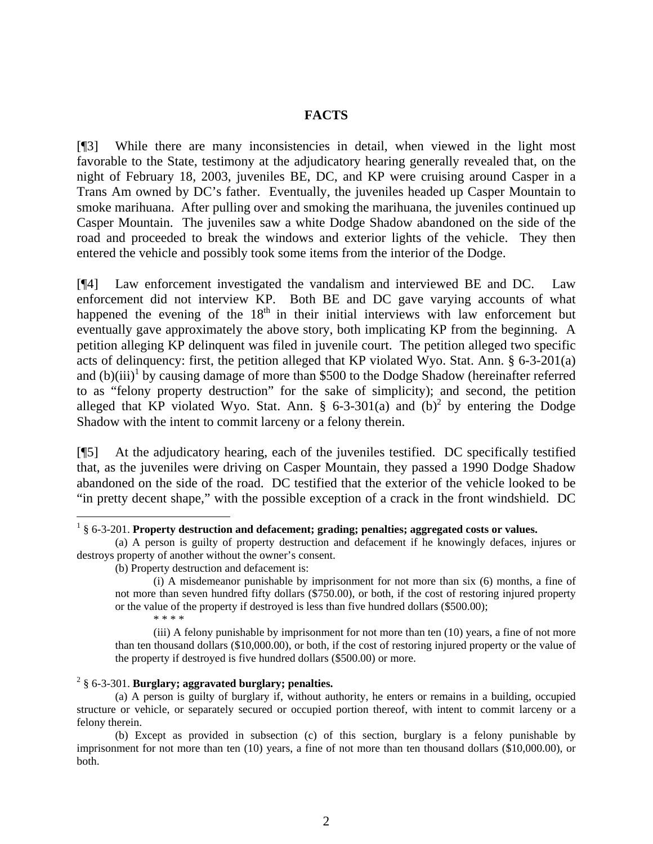#### **FACTS**

[¶3] While there are many inconsistencies in detail, when viewed in the light most favorable to the State, testimony at the adjudicatory hearing generally revealed that, on the night of February 18, 2003, juveniles BE, DC, and KP were cruising around Casper in a Trans Am owned by DC's father. Eventually, the juveniles headed up Casper Mountain to smoke marihuana. After pulling over and smoking the marihuana, the juveniles continued up Casper Mountain. The juveniles saw a white Dodge Shadow abandoned on the side of the road and proceeded to break the windows and exterior lights of the vehicle. They then entered the vehicle and possibly took some items from the interior of the Dodge.

[¶4] Law enforcement investigated the vandalism and interviewed BE and DC. Law enforcement did not interview KP. Both BE and DC gave varying accounts of what happened the evening of the  $18<sup>th</sup>$  in their initial interviews with law enforcement but eventually gave approximately the above story, both implicating KP from the beginning. A petition alleging KP delinquent was filed in juvenile court. The petition alleged two specific acts of delinquency: first, the petition alleged that KP violated Wyo. Stat. Ann.  $\S$  6-3-201(a) and  $(b)(iii)^1$  $(b)(iii)^1$  by causing damage of more than \$500 to the Dodge Shadow (hereinafter referred to as "felony property destruction" for the sake of simplicity); and second, the petition alleged that KP violated Wyo. Stat. Ann. § 6-3-301(a) and  $(b)^2$  $(b)^2$  by entering the Dodge Shadow with the intent to commit larceny or a felony therein.

[¶5] At the adjudicatory hearing, each of the juveniles testified. DC specifically testified that, as the juveniles were driving on Casper Mountain, they passed a 1990 Dodge Shadow abandoned on the side of the road. DC testified that the exterior of the vehicle looked to be "in pretty decent shape," with the possible exception of a crack in the front windshield. DC

(iii) A felony punishable by imprisonment for not more than ten (10) years, a fine of not more than ten thousand dollars (\$10,000.00), or both, if the cost of restoring injured property or the value of the property if destroyed is five hundred dollars (\$500.00) or more.

## <span id="page-2-1"></span>2 § 6-3-301. **Burglary; aggravated burglary; penalties.**

(a) A person is guilty of burglary if, without authority, he enters or remains in a building, occupied structure or vehicle, or separately secured or occupied portion thereof, with intent to commit larceny or a felony therein.

(b) Except as provided in subsection (c) of this section, burglary is a felony punishable by imprisonment for not more than ten (10) years, a fine of not more than ten thousand dollars (\$10,000.00), or both.

<span id="page-2-0"></span> $\frac{1}{1}$ § 6-3-201. **Property destruction and defacement; grading; penalties; aggregated costs or values.**

<sup>(</sup>a) A person is guilty of property destruction and defacement if he knowingly defaces, injures or destroys property of another without the owner's consent.

<sup>(</sup>b) Property destruction and defacement is:

<sup>(</sup>i) A misdemeanor punishable by imprisonment for not more than six (6) months, a fine of not more than seven hundred fifty dollars (\$750.00), or both, if the cost of restoring injured property or the value of the property if destroyed is less than five hundred dollars (\$500.00); \* \* \* \*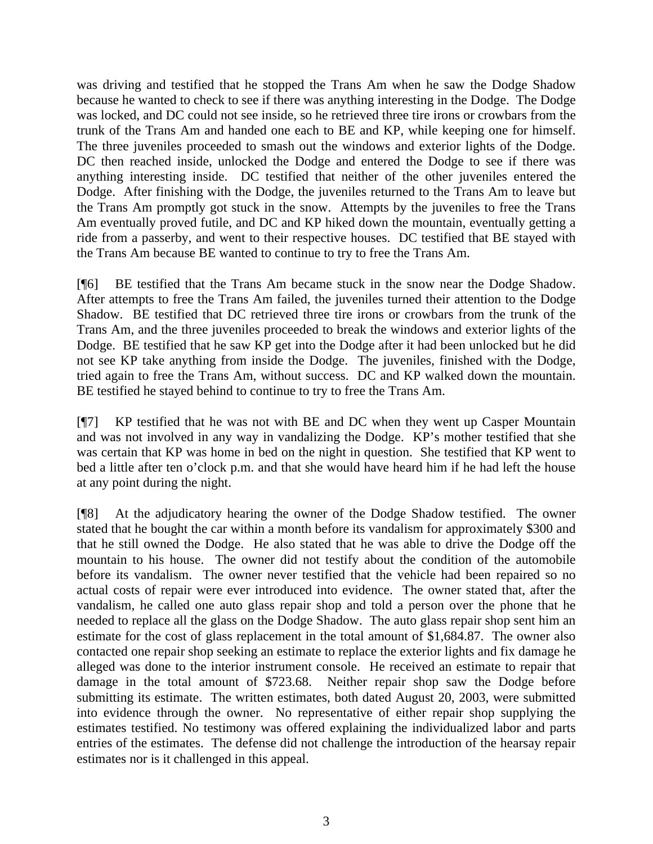was driving and testified that he stopped the Trans Am when he saw the Dodge Shadow because he wanted to check to see if there was anything interesting in the Dodge. The Dodge was locked, and DC could not see inside, so he retrieved three tire irons or crowbars from the trunk of the Trans Am and handed one each to BE and KP, while keeping one for himself. The three juveniles proceeded to smash out the windows and exterior lights of the Dodge. DC then reached inside, unlocked the Dodge and entered the Dodge to see if there was anything interesting inside. DC testified that neither of the other juveniles entered the Dodge. After finishing with the Dodge, the juveniles returned to the Trans Am to leave but the Trans Am promptly got stuck in the snow. Attempts by the juveniles to free the Trans Am eventually proved futile, and DC and KP hiked down the mountain, eventually getting a ride from a passerby, and went to their respective houses. DC testified that BE stayed with the Trans Am because BE wanted to continue to try to free the Trans Am.

[¶6] BE testified that the Trans Am became stuck in the snow near the Dodge Shadow. After attempts to free the Trans Am failed, the juveniles turned their attention to the Dodge Shadow. BE testified that DC retrieved three tire irons or crowbars from the trunk of the Trans Am, and the three juveniles proceeded to break the windows and exterior lights of the Dodge. BE testified that he saw KP get into the Dodge after it had been unlocked but he did not see KP take anything from inside the Dodge. The juveniles, finished with the Dodge, tried again to free the Trans Am, without success. DC and KP walked down the mountain. BE testified he stayed behind to continue to try to free the Trans Am.

[¶7] KP testified that he was not with BE and DC when they went up Casper Mountain and was not involved in any way in vandalizing the Dodge. KP's mother testified that she was certain that KP was home in bed on the night in question. She testified that KP went to bed a little after ten o'clock p.m. and that she would have heard him if he had left the house at any point during the night.

[¶8] At the adjudicatory hearing the owner of the Dodge Shadow testified. The owner stated that he bought the car within a month before its vandalism for approximately \$300 and that he still owned the Dodge. He also stated that he was able to drive the Dodge off the mountain to his house. The owner did not testify about the condition of the automobile before its vandalism. The owner never testified that the vehicle had been repaired so no actual costs of repair were ever introduced into evidence. The owner stated that, after the vandalism, he called one auto glass repair shop and told a person over the phone that he needed to replace all the glass on the Dodge Shadow. The auto glass repair shop sent him an estimate for the cost of glass replacement in the total amount of \$1,684.87. The owner also contacted one repair shop seeking an estimate to replace the exterior lights and fix damage he alleged was done to the interior instrument console. He received an estimate to repair that damage in the total amount of \$723.68. Neither repair shop saw the Dodge before submitting its estimate. The written estimates, both dated August 20, 2003, were submitted into evidence through the owner. No representative of either repair shop supplying the estimates testified. No testimony was offered explaining the individualized labor and parts entries of the estimates. The defense did not challenge the introduction of the hearsay repair estimates nor is it challenged in this appeal.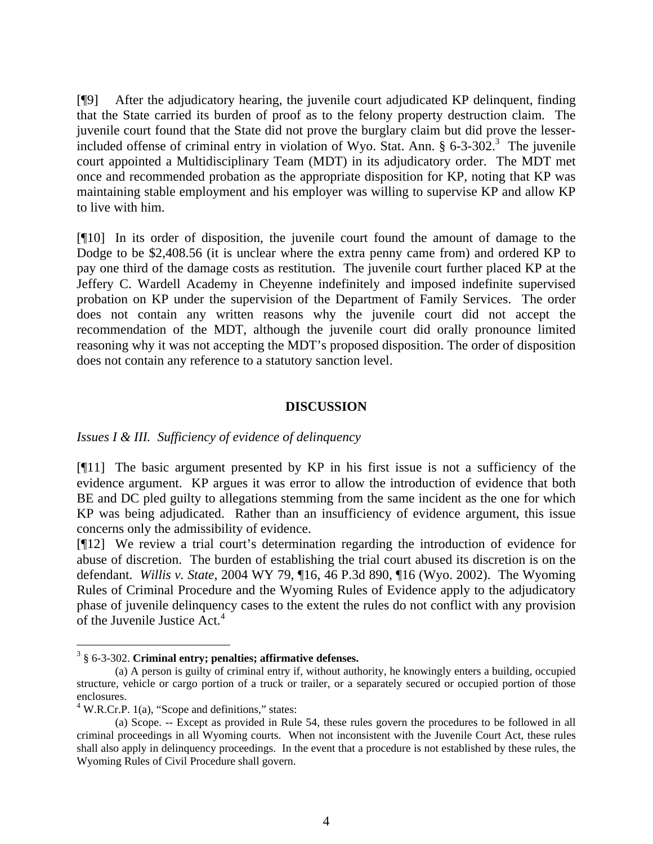[¶9] After the adjudicatory hearing, the juvenile court adjudicated KP delinquent, finding that the State carried its burden of proof as to the felony property destruction claim. The juvenile court found that the State did not prove the burglary claim but did prove the lesserincluded offense of criminal entry in violation of Wyo. Stat. Ann.  $\S$  6-[3](#page-4-0)-302.<sup>3</sup> The juvenile court appointed a Multidisciplinary Team (MDT) in its adjudicatory order. The MDT met once and recommended probation as the appropriate disposition for KP, noting that KP was maintaining stable employment and his employer was willing to supervise KP and allow KP to live with him.

[¶10] In its order of disposition, the juvenile court found the amount of damage to the Dodge to be \$2,408.56 (it is unclear where the extra penny came from) and ordered KP to pay one third of the damage costs as restitution. The juvenile court further placed KP at the Jeffery C. Wardell Academy in Cheyenne indefinitely and imposed indefinite supervised probation on KP under the supervision of the Department of Family Services. The order does not contain any written reasons why the juvenile court did not accept the recommendation of the MDT, although the juvenile court did orally pronounce limited reasoning why it was not accepting the MDT's proposed disposition. The order of disposition does not contain any reference to a statutory sanction level.

## **DISCUSSION**

## *Issues I & III. Sufficiency of evidence of delinquency*

[¶11] The basic argument presented by KP in his first issue is not a sufficiency of the evidence argument. KP argues it was error to allow the introduction of evidence that both BE and DC pled guilty to allegations stemming from the same incident as the one for which KP was being adjudicated. Rather than an insufficiency of evidence argument, this issue concerns only the admissibility of evidence.

[¶12] We review a trial court's determination regarding the introduction of evidence for abuse of discretion. The burden of establishing the trial court abused its discretion is on the defendant. *Willis v. State*, 2004 WY 79, ¶16, 46 P.3d 890, ¶16 (Wyo. 2002). The Wyoming Rules of Criminal Procedure and the Wyoming Rules of Evidence apply to the adjudicatory phase of juvenile delinquency cases to the extent the rules do not conflict with any provision of the Juvenile Justice Act.<sup>[4](#page-4-1)</sup>

<span id="page-4-0"></span><sup>&</sup>lt;sup>2</sup><br>3 § 6-3-302. **Criminal entry; penalties; affirmative defenses.**

<sup>(</sup>a) A person is guilty of criminal entry if, without authority, he knowingly enters a building, occupied structure, vehicle or cargo portion of a truck or trailer, or a separately secured or occupied portion of those enclosures.

<span id="page-4-1"></span> $4$  W.R.Cr.P. 1(a), "Scope and definitions," states:

<sup>(</sup>a) Scope. -- Except as provided in Rule 54, these rules govern the procedures to be followed in all criminal proceedings in all Wyoming courts. When not inconsistent with the Juvenile Court Act, these rules shall also apply in delinquency proceedings. In the event that a procedure is not established by these rules, the Wyoming Rules of Civil Procedure shall govern.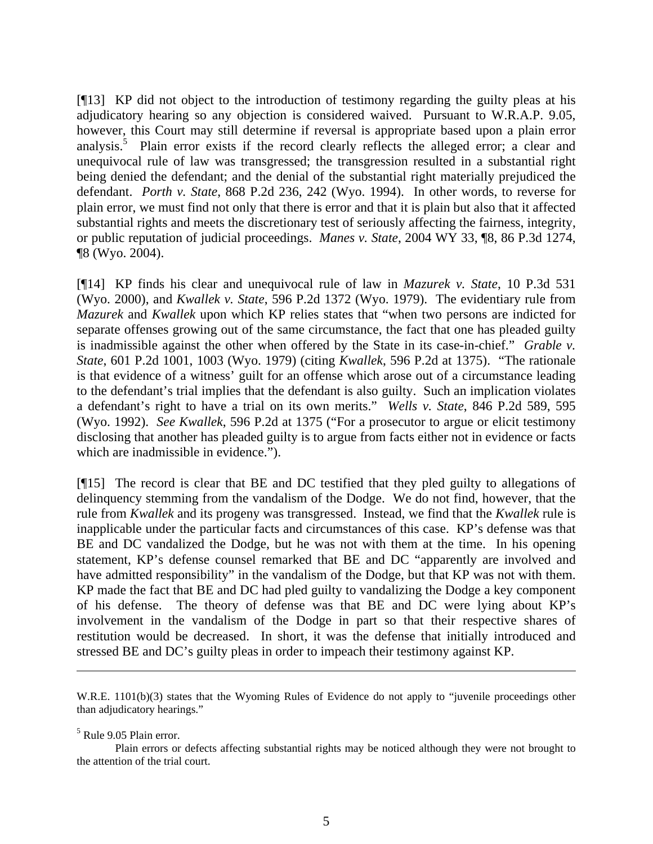[¶13] KP did not object to the introduction of testimony regarding the guilty pleas at his adjudicatory hearing so any objection is considered waived. Pursuant to W.R.A.P. 9.05, however, this Court may still determine if reversal is appropriate based upon a plain error analysis.<sup>[5](#page-5-0)</sup> Plain error exists if the record clearly reflects the alleged error; a clear and unequivocal rule of law was transgressed; the transgression resulted in a substantial right being denied the defendant; and the denial of the substantial right materially prejudiced the defendant. *Porth v. State*, 868 P.2d 236, 242 (Wyo. 1994). In other words, to reverse for plain error, we must find not only that there is error and that it is plain but also that it affected substantial rights and meets the discretionary test of seriously affecting the fairness, integrity, or public reputation of judicial proceedings. *Manes v. State*, 2004 WY 33, ¶8, 86 P.3d 1274, ¶8 (Wyo. 2004).

[¶14] KP finds his clear and unequivocal rule of law in *Mazurek v. State*, 10 P.3d 531 (Wyo. 2000), and *Kwallek v. State*, 596 P.2d 1372 (Wyo. 1979). The evidentiary rule from *Mazurek* and *Kwallek* upon which KP relies states that "when two persons are indicted for separate offenses growing out of the same circumstance, the fact that one has pleaded guilty is inadmissible against the other when offered by the State in its case-in-chief." *Grable v. State*, 601 P.2d 1001, 1003 (Wyo. 1979) (citing *Kwallek*, 596 P.2d at 1375). "The rationale is that evidence of a witness' guilt for an offense which arose out of a circumstance leading to the defendant's trial implies that the defendant is also guilty. Such an implication violates a defendant's right to have a trial on its own merits." *Wells v. State*, 846 P.2d 589, 595 (Wyo. 1992). *See Kwallek*, 596 P.2d at 1375 ("For a prosecutor to argue or elicit testimony disclosing that another has pleaded guilty is to argue from facts either not in evidence or facts which are inadmissible in evidence.").

[¶15] The record is clear that BE and DC testified that they pled guilty to allegations of delinquency stemming from the vandalism of the Dodge. We do not find, however, that the rule from *Kwallek* and its progeny was transgressed. Instead, we find that the *Kwallek* rule is inapplicable under the particular facts and circumstances of this case. KP's defense was that BE and DC vandalized the Dodge, but he was not with them at the time. In his opening statement, KP's defense counsel remarked that BE and DC "apparently are involved and have admitted responsibility" in the vandalism of the Dodge, but that KP was not with them. KP made the fact that BE and DC had pled guilty to vandalizing the Dodge a key component of his defense. The theory of defense was that BE and DC were lying about KP's involvement in the vandalism of the Dodge in part so that their respective shares of restitution would be decreased. In short, it was the defense that initially introduced and stressed BE and DC's guilty pleas in order to impeach their testimony against KP.

 $\overline{a}$ 

W.R.E. 1101(b)(3) states that the Wyoming Rules of Evidence do not apply to "juvenile proceedings other than adjudicatory hearings."

<span id="page-5-0"></span><sup>5</sup> Rule 9.05 Plain error.

Plain errors or defects affecting substantial rights may be noticed although they were not brought to the attention of the trial court.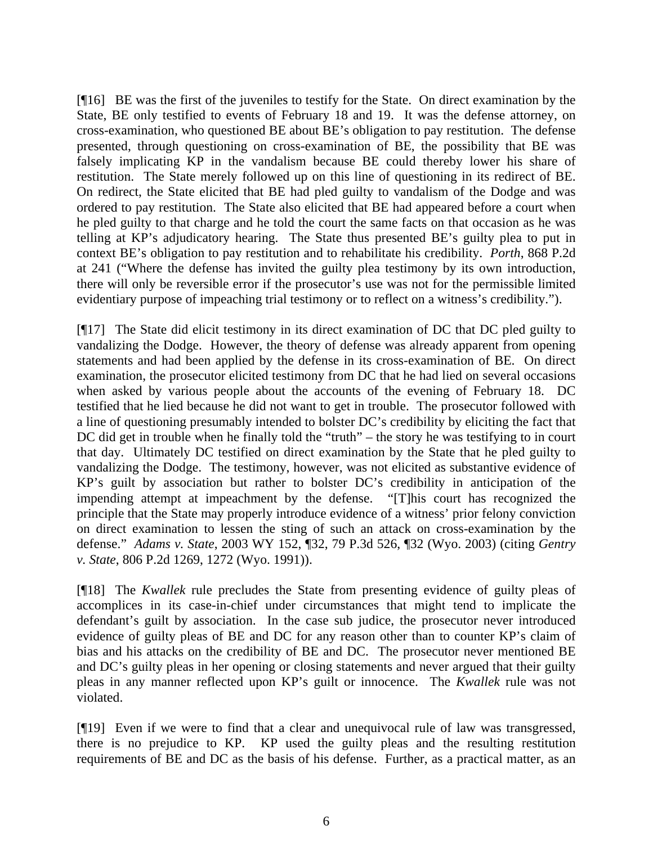[¶16] BE was the first of the juveniles to testify for the State. On direct examination by the State, BE only testified to events of February 18 and 19. It was the defense attorney, on cross-examination, who questioned BE about BE's obligation to pay restitution. The defense presented, through questioning on cross-examination of BE, the possibility that BE was falsely implicating KP in the vandalism because BE could thereby lower his share of restitution. The State merely followed up on this line of questioning in its redirect of BE. On redirect, the State elicited that BE had pled guilty to vandalism of the Dodge and was ordered to pay restitution. The State also elicited that BE had appeared before a court when he pled guilty to that charge and he told the court the same facts on that occasion as he was telling at KP's adjudicatory hearing. The State thus presented BE's guilty plea to put in context BE's obligation to pay restitution and to rehabilitate his credibility. *Porth*, 868 P.2d at 241 ("Where the defense has invited the guilty plea testimony by its own introduction, there will only be reversible error if the prosecutor's use was not for the permissible limited evidentiary purpose of impeaching trial testimony or to reflect on a witness's credibility.").

[¶17] The State did elicit testimony in its direct examination of DC that DC pled guilty to vandalizing the Dodge. However, the theory of defense was already apparent from opening statements and had been applied by the defense in its cross-examination of BE. On direct examination, the prosecutor elicited testimony from DC that he had lied on several occasions when asked by various people about the accounts of the evening of February 18. DC testified that he lied because he did not want to get in trouble. The prosecutor followed with a line of questioning presumably intended to bolster DC's credibility by eliciting the fact that DC did get in trouble when he finally told the "truth" – the story he was testifying to in court that day. Ultimately DC testified on direct examination by the State that he pled guilty to vandalizing the Dodge. The testimony, however, was not elicited as substantive evidence of KP's guilt by association but rather to bolster DC's credibility in anticipation of the impending attempt at impeachment by the defense. "[T]his court has recognized the principle that the State may properly introduce evidence of a witness' prior felony conviction on direct examination to lessen the sting of such an attack on cross-examination by the defense." *Adams v. State*, 2003 WY 152, ¶32, 79 P.3d 526, ¶32 (Wyo. 2003) (citing *Gentry v. State*, 806 P.2d 1269, 1272 (Wyo. 1991)).

[¶18] The *Kwallek* rule precludes the State from presenting evidence of guilty pleas of accomplices in its case-in-chief under circumstances that might tend to implicate the defendant's guilt by association. In the case sub judice, the prosecutor never introduced evidence of guilty pleas of BE and DC for any reason other than to counter KP's claim of bias and his attacks on the credibility of BE and DC. The prosecutor never mentioned BE and DC's guilty pleas in her opening or closing statements and never argued that their guilty pleas in any manner reflected upon KP's guilt or innocence. The *Kwallek* rule was not violated.

[¶19] Even if we were to find that a clear and unequivocal rule of law was transgressed, there is no prejudice to KP. KP used the guilty pleas and the resulting restitution requirements of BE and DC as the basis of his defense. Further, as a practical matter, as an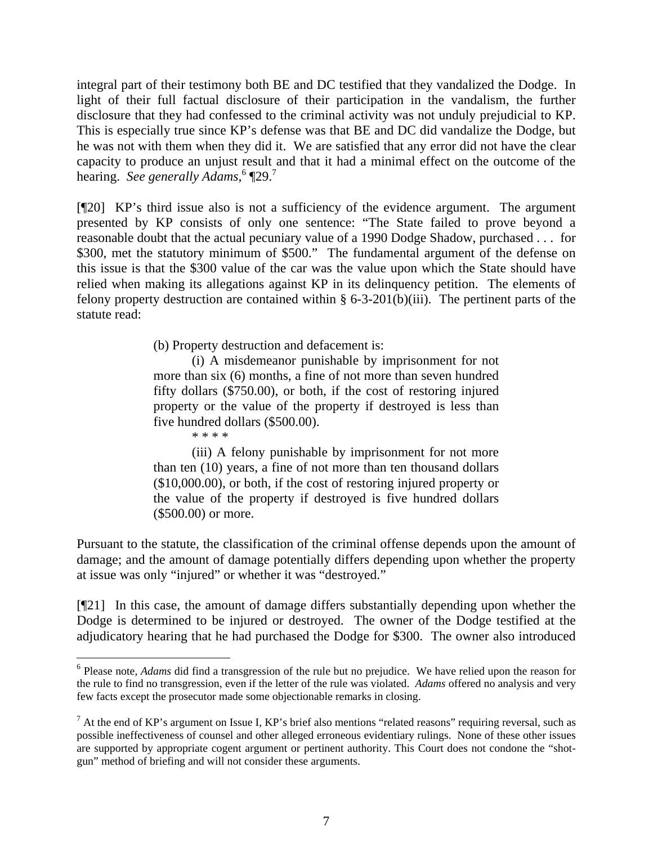integral part of their testimony both BE and DC testified that they vandalized the Dodge. In light of their full factual disclosure of their participation in the vandalism, the further disclosure that they had confessed to the criminal activity was not unduly prejudicial to KP. This is especially true since KP's defense was that BE and DC did vandalize the Dodge, but he was not with them when they did it. We are satisfied that any error did not have the clear capacity to produce an unjust result and that it had a minimal effect on the outcome of the hearing. *See generally Adams,* [6](#page-7-0) ¶29. [7](#page-7-1)

[¶20] KP's third issue also is not a sufficiency of the evidence argument. The argument presented by KP consists of only one sentence: "The State failed to prove beyond a reasonable doubt that the actual pecuniary value of a 1990 Dodge Shadow, purchased . . . for \$300, met the statutory minimum of \$500." The fundamental argument of the defense on this issue is that the \$300 value of the car was the value upon which the State should have relied when making its allegations against KP in its delinquency petition. The elements of felony property destruction are contained within  $\S 6-3-201(b)(iii)$ . The pertinent parts of the statute read:

(b) Property destruction and defacement is:

(i) A misdemeanor punishable by imprisonment for not more than six (6) months, a fine of not more than seven hundred fifty dollars (\$750.00), or both, if the cost of restoring injured property or the value of the property if destroyed is less than five hundred dollars (\$500.00).

\* \* \* \*

(iii) A felony punishable by imprisonment for not more than ten (10) years, a fine of not more than ten thousand dollars (\$10,000.00), or both, if the cost of restoring injured property or the value of the property if destroyed is five hundred dollars (\$500.00) or more.

Pursuant to the statute, the classification of the criminal offense depends upon the amount of damage; and the amount of damage potentially differs depending upon whether the property at issue was only "injured" or whether it was "destroyed."

[¶21] In this case, the amount of damage differs substantially depending upon whether the Dodge is determined to be injured or destroyed. The owner of the Dodge testified at the adjudicatory hearing that he had purchased the Dodge for \$300. The owner also introduced

<span id="page-7-0"></span> $\frac{1}{6}$ <sup>6</sup> Please note, *Adams* did find a transgression of the rule but no prejudice. We have relied upon the reason for the rule to find no transgression, even if the letter of the rule was violated. *Adams* offered no analysis and very few facts except the prosecutor made some objectionable remarks in closing.

<span id="page-7-1"></span> $^7$  At the end of KP's argument on Issue I, KP's brief also mentions "related reasons" requiring reversal, such as possible ineffectiveness of counsel and other alleged erroneous evidentiary rulings. None of these other issues are supported by appropriate cogent argument or pertinent authority. This Court does not condone the "shotgun" method of briefing and will not consider these arguments.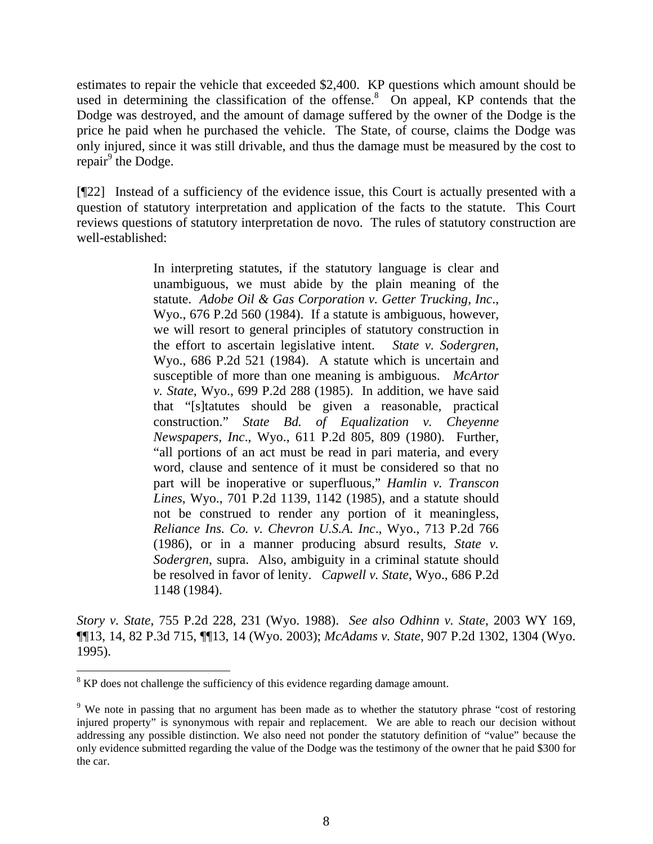estimates to repair the vehicle that exceeded \$2,400. KP questions which amount should be used in determining the classification of the offense. $8$  On appeal, KP contends that the Dodge was destroyed, and the amount of damage suffered by the owner of the Dodge is the price he paid when he purchased the vehicle. The State, of course, claims the Dodge was only injured, since it was still drivable, and thus the damage must be measured by the cost to repair<sup>[9](#page-8-1)</sup> the Dodge.

[¶22] Instead of a sufficiency of the evidence issue, this Court is actually presented with a question of statutory interpretation and application of the facts to the statute. This Court reviews questions of statutory interpretation de novo. The rules of statutory construction are well-established:

> In interpreting statutes, if the statutory language is clear and unambiguous, we must abide by the plain meaning of the statute. *Adobe Oil & Gas Corporation v. Getter Trucking, Inc*., Wyo., 676 P.2d 560 (1984). If a statute is ambiguous, however, we will resort to general principles of statutory construction in the effort to ascertain legislative intent. *State v. Sodergren*, Wyo., 686 P.2d 521 (1984). A statute which is uncertain and susceptible of more than one meaning is ambiguous. *McArtor v. State*, Wyo., 699 P.2d 288 (1985). In addition, we have said that "[s]tatutes should be given a reasonable, practical construction." *State Bd. of Equalization v. Cheyenne Newspapers, Inc*., Wyo., 611 P.2d 805, 809 (1980). Further, "all portions of an act must be read in pari materia, and every word, clause and sentence of it must be considered so that no part will be inoperative or superfluous," *Hamlin v. Transcon Lines*, Wyo., 701 P.2d 1139, 1142 (1985), and a statute should not be construed to render any portion of it meaningless, *Reliance Ins. Co. v. Chevron U.S.A. Inc*., Wyo., 713 P.2d 766 (1986), or in a manner producing absurd results, *State v. Sodergren*, supra. Also, ambiguity in a criminal statute should be resolved in favor of lenity. *Capwell v. State*, Wyo., 686 P.2d 1148 (1984).

*Story v. State*, 755 P.2d 228, 231 (Wyo. 1988). *See also Odhinn v. State*, 2003 WY 169, ¶¶13, 14, 82 P.3d 715, ¶¶13, 14 (Wyo. 2003); *McAdams v. State*, 907 P.2d 1302, 1304 (Wyo. 1995).

<span id="page-8-0"></span><sup>-&</sup>lt;br>8 <sup>8</sup> KP does not challenge the sufficiency of this evidence regarding damage amount.

<span id="page-8-1"></span><sup>&</sup>lt;sup>9</sup> We note in passing that no argument has been made as to whether the statutory phrase "cost of restoring injured property" is synonymous with repair and replacement. We are able to reach our decision without addressing any possible distinction. We also need not ponder the statutory definition of "value" because the only evidence submitted regarding the value of the Dodge was the testimony of the owner that he paid \$300 for the car.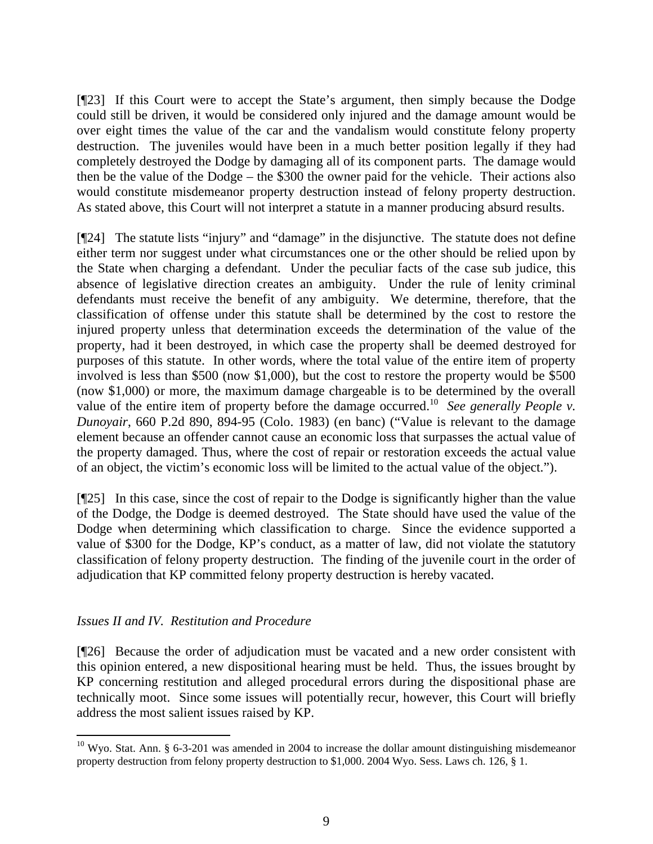[¶23] If this Court were to accept the State's argument, then simply because the Dodge could still be driven, it would be considered only injured and the damage amount would be over eight times the value of the car and the vandalism would constitute felony property destruction. The juveniles would have been in a much better position legally if they had completely destroyed the Dodge by damaging all of its component parts. The damage would then be the value of the Dodge – the \$300 the owner paid for the vehicle. Their actions also would constitute misdemeanor property destruction instead of felony property destruction. As stated above, this Court will not interpret a statute in a manner producing absurd results.

[¶24] The statute lists "injury" and "damage" in the disjunctive. The statute does not define either term nor suggest under what circumstances one or the other should be relied upon by the State when charging a defendant. Under the peculiar facts of the case sub judice, this absence of legislative direction creates an ambiguity. Under the rule of lenity criminal defendants must receive the benefit of any ambiguity. We determine, therefore, that the classification of offense under this statute shall be determined by the cost to restore the injured property unless that determination exceeds the determination of the value of the property, had it been destroyed, in which case the property shall be deemed destroyed for purposes of this statute. In other words, where the total value of the entire item of property involved is less than \$500 (now \$1,000), but the cost to restore the property would be \$500 (now \$1,000) or more, the maximum damage chargeable is to be determined by the overall value of the entire item of property before the damage occurred.[10](#page-9-0) *See generally People v. Dunoyair*, 660 P.2d 890, 894-95 (Colo. 1983) (en banc) ("Value is relevant to the damage element because an offender cannot cause an economic loss that surpasses the actual value of the property damaged. Thus, where the cost of repair or restoration exceeds the actual value of an object, the victim's economic loss will be limited to the actual value of the object.").

[¶25] In this case, since the cost of repair to the Dodge is significantly higher than the value of the Dodge, the Dodge is deemed destroyed. The State should have used the value of the Dodge when determining which classification to charge. Since the evidence supported a value of \$300 for the Dodge, KP's conduct, as a matter of law, did not violate the statutory classification of felony property destruction. The finding of the juvenile court in the order of adjudication that KP committed felony property destruction is hereby vacated.

# *Issues II and IV. Restitution and Procedure*

[¶26] Because the order of adjudication must be vacated and a new order consistent with this opinion entered, a new dispositional hearing must be held. Thus, the issues brought by KP concerning restitution and alleged procedural errors during the dispositional phase are technically moot. Since some issues will potentially recur, however, this Court will briefly address the most salient issues raised by KP.

<span id="page-9-0"></span> $10$  Wyo. Stat. Ann. § 6-3-201 was amended in 2004 to increase the dollar amount distinguishing misdemeanor property destruction from felony property destruction to \$1,000. 2004 Wyo. Sess. Laws ch. 126, § 1.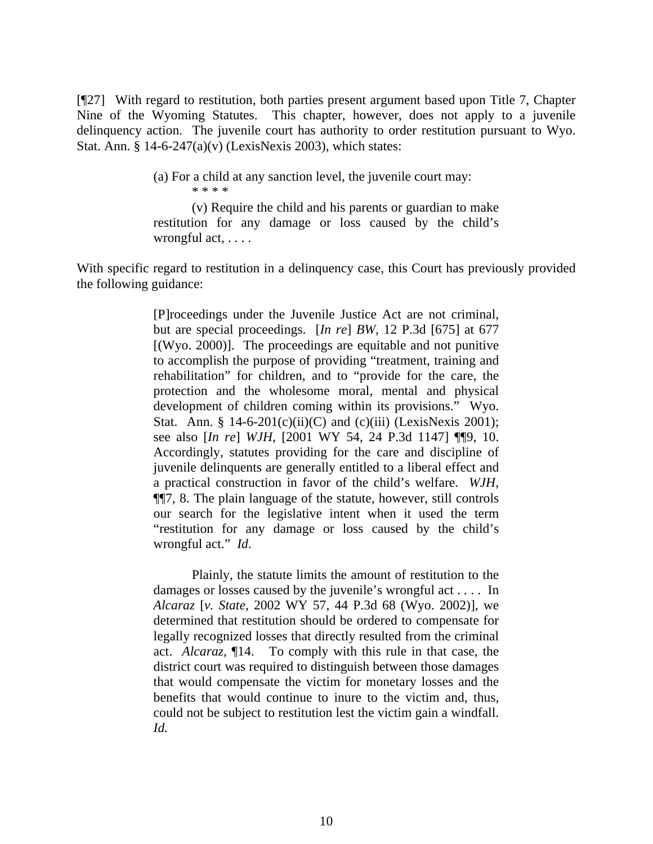[¶27] With regard to restitution, both parties present argument based upon Title 7, Chapter Nine of the Wyoming Statutes. This chapter, however, does not apply to a juvenile delinquency action. The juvenile court has authority to order restitution pursuant to Wyo. Stat. Ann. § 14-6-247(a)(v) (LexisNexis 2003), which states:

> (a) For a child at any sanction level, the juvenile court may: \* \* \* \*

(v) Require the child and his parents or guardian to make restitution for any damage or loss caused by the child's wrongful act, . . . .

With specific regard to restitution in a delinquency case, this Court has previously provided the following guidance:

> [P]roceedings under the Juvenile Justice Act are not criminal, but are special proceedings. [*In re*] *BW*, 12 P.3d [675] at 677 [(Wyo. 2000)]. The proceedings are equitable and not punitive to accomplish the purpose of providing "treatment, training and rehabilitation" for children, and to "provide for the care, the protection and the wholesome moral, mental and physical development of children coming within its provisions." Wyo. Stat. Ann. §  $14-6-201(c)(ii)(C)$  and  $(c)(iii)$  (LexisNexis 2001); see also [*In re*] *WJH*, [2001 WY 54, 24 P.3d 1147] ¶¶9, 10. Accordingly, statutes providing for the care and discipline of juvenile delinquents are generally entitled to a liberal effect and a practical construction in favor of the child's welfare. *WJH*, ¶¶7, 8. The plain language of the statute, however, still controls our search for the legislative intent when it used the term "restitution for any damage or loss caused by the child's wrongful act." *Id*.

> Plainly, the statute limits the amount of restitution to the damages or losses caused by the juvenile's wrongful act . . . . In *Alcaraz* [*v. State,* 2002 WY 57, 44 P.3d 68 (Wyo. 2002)], we determined that restitution should be ordered to compensate for legally recognized losses that directly resulted from the criminal act. *Alcaraz*, ¶14. To comply with this rule in that case, the district court was required to distinguish between those damages that would compensate the victim for monetary losses and the benefits that would continue to inure to the victim and, thus, could not be subject to restitution lest the victim gain a windfall. *Id.*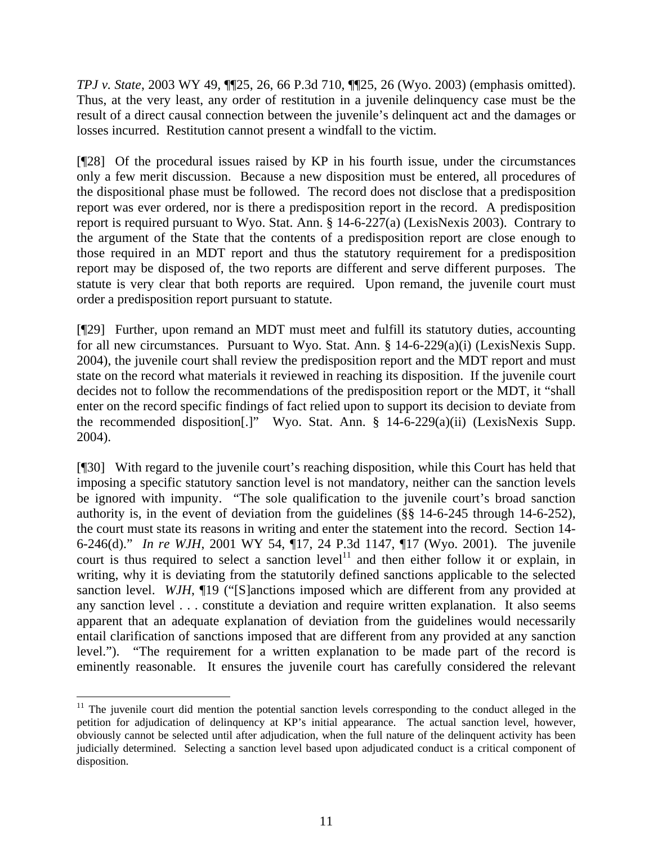*TPJ v. State*, 2003 WY 49, ¶¶25, 26, 66 P.3d 710, ¶¶25, 26 (Wyo. 2003) (emphasis omitted). Thus, at the very least, any order of restitution in a juvenile delinquency case must be the result of a direct causal connection between the juvenile's delinquent act and the damages or losses incurred. Restitution cannot present a windfall to the victim.

[¶28] Of the procedural issues raised by KP in his fourth issue, under the circumstances only a few merit discussion. Because a new disposition must be entered, all procedures of the dispositional phase must be followed. The record does not disclose that a predisposition report was ever ordered, nor is there a predisposition report in the record. A predisposition report is required pursuant to Wyo. Stat. Ann. § 14-6-227(a) (LexisNexis 2003). Contrary to the argument of the State that the contents of a predisposition report are close enough to those required in an MDT report and thus the statutory requirement for a predisposition report may be disposed of, the two reports are different and serve different purposes. The statute is very clear that both reports are required. Upon remand, the juvenile court must order a predisposition report pursuant to statute.

[¶29] Further, upon remand an MDT must meet and fulfill its statutory duties, accounting for all new circumstances. Pursuant to Wyo. Stat. Ann. § 14-6-229(a)(i) (LexisNexis Supp. 2004), the juvenile court shall review the predisposition report and the MDT report and must state on the record what materials it reviewed in reaching its disposition. If the juvenile court decides not to follow the recommendations of the predisposition report or the MDT, it "shall enter on the record specific findings of fact relied upon to support its decision to deviate from the recommended disposition[.]" Wyo. Stat. Ann. § 14-6-229(a)(ii) (LexisNexis Supp. 2004).

[¶30] With regard to the juvenile court's reaching disposition, while this Court has held that imposing a specific statutory sanction level is not mandatory, neither can the sanction levels be ignored with impunity. "The sole qualification to the juvenile court's broad sanction authority is, in the event of deviation from the guidelines (§§ 14-6-245 through 14-6-252), the court must state its reasons in writing and enter the statement into the record. Section 14- 6-246(d)." *In re WJH*, 2001 WY 54, ¶17, 24 P.3d 1147, ¶17 (Wyo. 2001). The juvenile court is thus required to select a sanction level<sup>11</sup> and then either follow it or explain, in writing, why it is deviating from the statutorily defined sanctions applicable to the selected sanction level. *WJH*,  $\P$ 19 ("[S]anctions imposed which are different from any provided at any sanction level . . . constitute a deviation and require written explanation. It also seems apparent that an adequate explanation of deviation from the guidelines would necessarily entail clarification of sanctions imposed that are different from any provided at any sanction level."). "The requirement for a written explanation to be made part of the record is eminently reasonable. It ensures the juvenile court has carefully considered the relevant

<span id="page-11-0"></span> $11$  The juvenile court did mention the potential sanction levels corresponding to the conduct alleged in the petition for adjudication of delinquency at KP's initial appearance. The actual sanction level, however, obviously cannot be selected until after adjudication, when the full nature of the delinquent activity has been judicially determined. Selecting a sanction level based upon adjudicated conduct is a critical component of disposition.